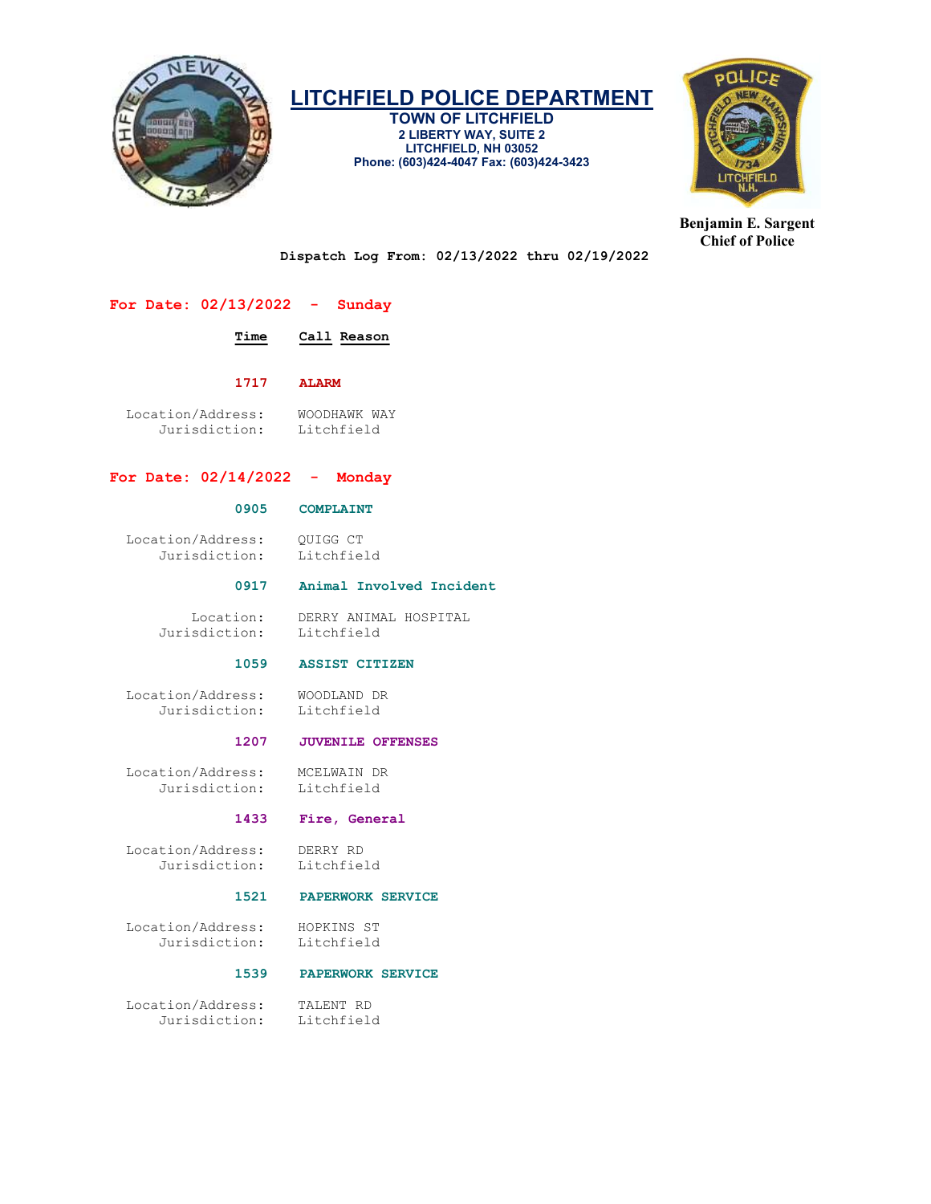

TOWN OF LITCHFIELD 2 LIBERTY WAY, SUITE 2 LITCHFIELD, NH 03052 Phone: (603)424-4047 Fax: (603)424-3423



Benjamin E. Sargent Chief of Police

Dispatch Log From: 02/13/2022 thru 02/19/2022

# For Date: 02/13/2022 - Sunday

# Time Call Reason

1717 ALARM

Location/Address: WOODHAWK WAY<br>Jurisdiction: Litchfield Jurisdiction:

# For Date: 02/14/2022 - Monday

#### 0905 COMPLAINT

Location/Address: QUIGG CT<br>Jurisdiction: Litchfield Jurisdiction:

# 0917 Animal Involved Incident

Location: DERRY ANIMAL HOSPITAL<br>sdiction: Litchfield Jurisdiction:

# 1059 ASSIST CITIZEN

 Location/Address: WOODLAND DR Jurisdiction:

#### 1207 JUVENILE OFFENSES

 Location/Address: MCELWAIN DR Jurisdiction:

# 1433 Fire, General

 Location/Address: DERRY RD Jurisdiction: Litchfield

## 1521 PAPERWORK SERVICE

 Location/Address: HOPKINS ST Jurisdiction:

#### 1539 PAPERWORK SERVICE

 Location/Address: TALENT RD Jurisdiction: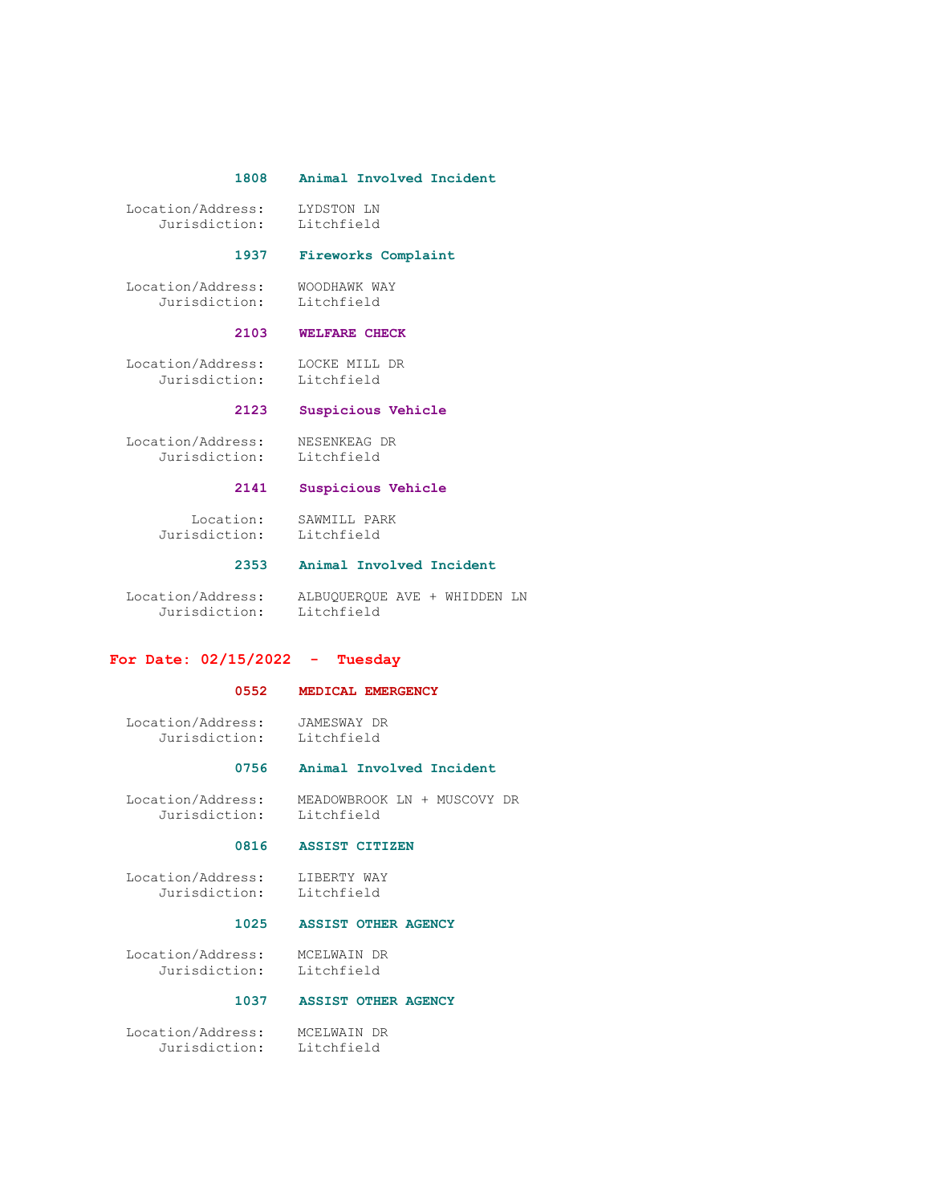### 1808 Animal Involved Incident

Location/Address: LYDSTON LN<br>Jurisdiction: Litchfield Jurisdiction:

# 1937 Fireworks Complaint

 Location/Address: WOODHAWK WAY Jurisdiction: Litchfield

#### 2103 WELFARE CHECK

 Location/Address: LOCKE MILL DR Jurisdiction: Litchfield

# 2123 Suspicious Vehicle

 Location/Address: NESENKEAG DR Jurisdiction: Litchfield

#### 2141 Suspicious Vehicle

 Location: SAWMILL PARK Jurisdiction: Litchfield

#### 2353 Animal Involved Incident

 Location/Address: ALBUQUERQUE AVE + WHIDDEN LN Jurisdiction: Litchfield

# For Date: 02/15/2022 - Tuesday

#### 0552 MEDICAL EMERGENCY

 Location/Address: JAMESWAY DR Jurisdiction: Litchfield

# 0756 Animal Involved Incident

 Location/Address: MEADOWBROOK LN + MUSCOVY DR Jurisdiction: Litchfield

# 0816 ASSIST CITIZEN

 Location/Address: LIBERTY WAY Jurisdiction: Litchfield

#### 1025 ASSIST OTHER AGENCY

Location/Address: MCELWAIN DR<br>Jurisdiction: Litchfield Jurisdiction:

# 1037 ASSIST OTHER AGENCY

 Location/Address: MCELWAIN DR Jurisdiction: Litchfield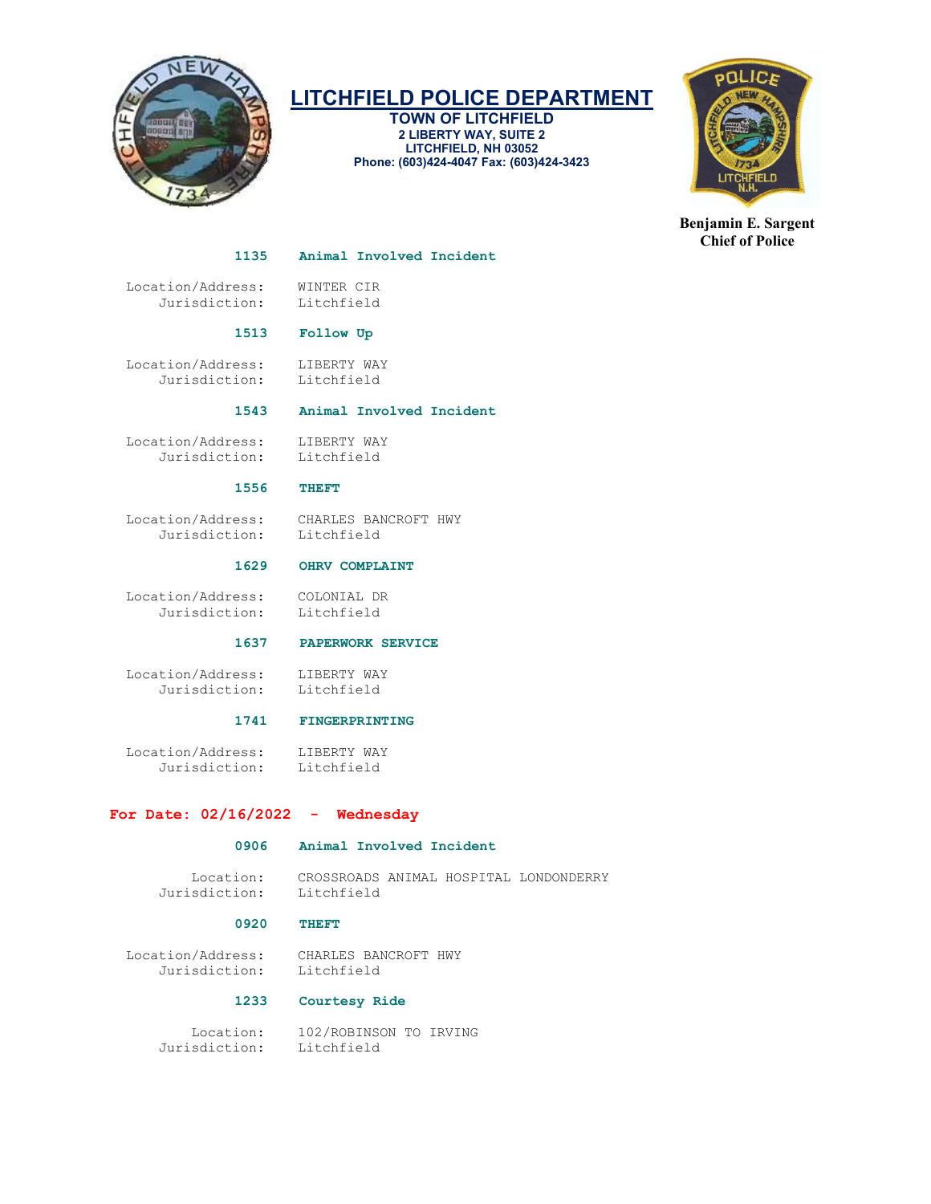

TOWN OF LITCHFIELD 2 LIBERTY WAY, SUITE 2 LITCHFIELD, NH 03052 Phone: (603)424-4047 Fax: (603)424-3423



Benjamin E. Sargent Chief of Police

#### 1135 Animal Involved Incident

 Location/Address: WINTER CIR Jurisdiction:

# 1513 Follow Up

 Location/Address: LIBERTY WAY Jurisdiction: Litchfield

# 1543 Animal Involved Incident

 Location/Address: LIBERTY WAY Jurisdiction: Litchfield

#### 1556 THEFT

Jurisdiction:

Location/Address: CHARLES BANCROFT HWY

#### 1629 OHRV COMPLAINT

 Location/Address: COLONIAL DR Jurisdiction:

1637 PAPERWORK SERVICE

 Location/Address: LIBERTY WAY Jurisdiction: Litchfield

#### 1741 FINGERPRINTING

Location/Address: LIBERTY WAY<br>Jurisdiction: Litchfield Jurisdiction:

# For Date:  $02/16/2022 -$  Wednesday

#### 0906 Animal Involved Incident

Location: CROSSROADS ANIMAL HOSPITAL LONDONDERRY<br>sdiction: Litchfield Jurisdiction:

#### 0920 THEFT

 Location/Address: CHARLES BANCROFT HWY Jurisdiction:

# 1233 Courtesy Ride

 Location: 102/ROBINSON TO IRVING Jurisdiction: Litchfield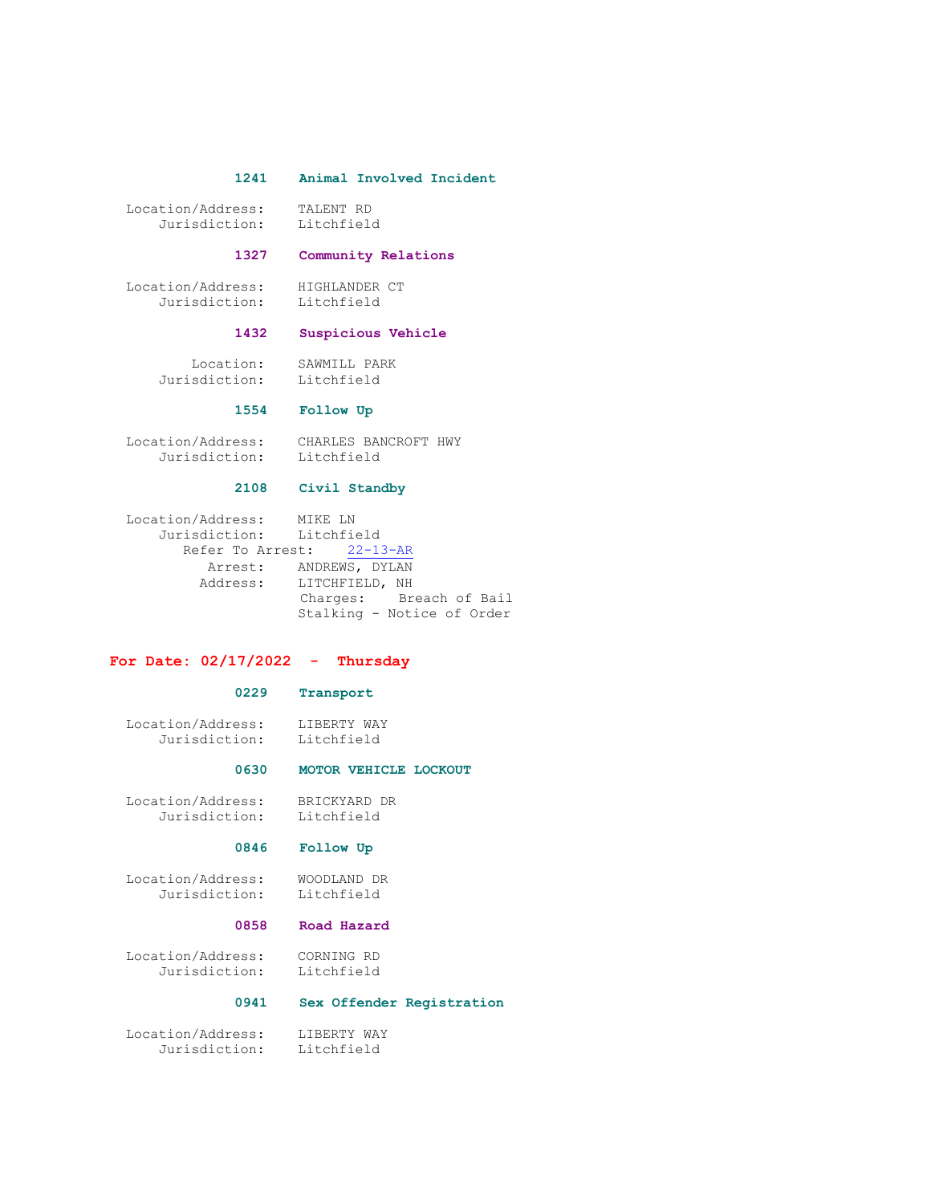#### 1241 Animal Involved Incident

 Location/Address: TALENT RD Jurisdiction:

# 1327 Community Relations

 Location/Address: HIGHLANDER CT Jurisdiction: Litchfield

## 1432 Suspicious Vehicle

 Location: SAWMILL PARK Jurisdiction: Litchfield

# 1554 Follow Up

 Location/Address: CHARLES BANCROFT HWY Jurisdiction: Litchfield

# 2108 Civil Standby

```
 Location/Address: MIKE LN 
Jurisdiction: Litchfield 
   Refer To Arrest: 22-13-AR 
      Arrest: ANDREWS, DYLAN 
     Address: LITCHFIELD, NH 
                 Charges: Breach of Bail 
                 Stalking - Notice of Order
```
# For Date: 02/17/2022 - Thursday

# 0229 Transport

 Location/Address: LIBERTY WAY Jurisdiction: Litchfield

# 0630 MOTOR VEHICLE LOCKOUT

 Location/Address: BRICKYARD DR Jurisdiction: Litchfield

# 0846 Follow Up

 Location/Address: WOODLAND DR Jurisdiction: Litchfield

# 0858 Road Hazard

 Location/Address: CORNING RD Jurisdiction:

# 0941 Sex Offender Registration

 Location/Address: LIBERTY WAY Jurisdiction: Litchfield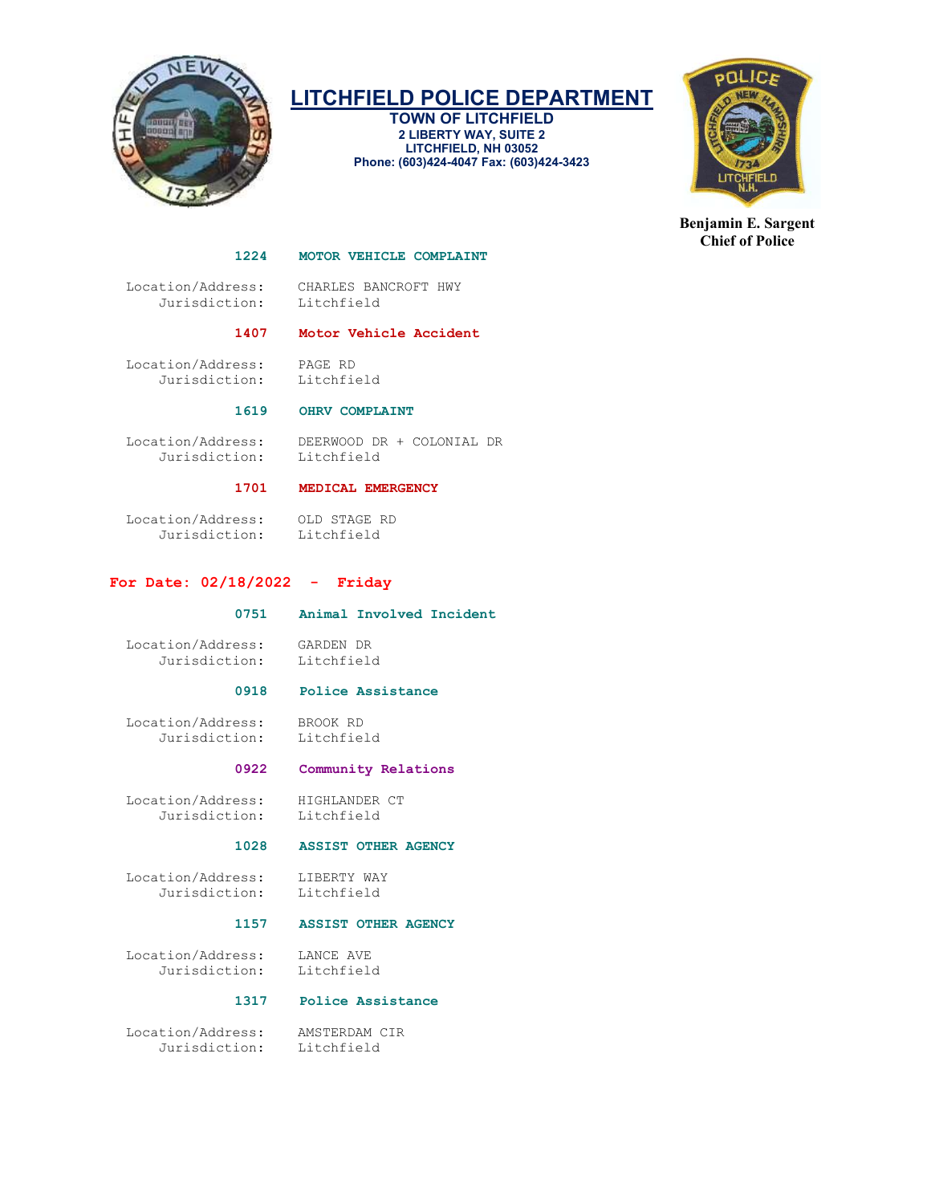

TOWN OF LITCHFIELD 2 LIBERTY WAY, SUITE 2 LITCHFIELD, NH 03052 Phone: (603)424-4047 Fax: (603)424-3423



Benjamin E. Sargent Chief of Police

### 1224 MOTOR VEHICLE COMPLAINT

 Location/Address: CHARLES BANCROFT HWY Jurisdiction:

# 1407 Motor Vehicle Accident

 Location/Address: PAGE RD Jurisdiction: Litchfield

# 1619 OHRV COMPLAINT

 Location/Address: DEERWOOD DR + COLONIAL DR Jurisdiction: Litchfield

# 1701 MEDICAL EMERGENCY

 Location/Address: OLD STAGE RD Jurisdiction:

# For Date: 02/18/2022 - Friday

#### 0751 Animal Involved Incident

 Location/Address: GARDEN DR Jurisdiction:

#### 0918 Police Assistance

 Location/Address: BROOK RD Jurisdiction: Litchfield

# 0922 Community Relations

 Location/Address: HIGHLANDER CT Jurisdiction:

# 1028 ASSIST OTHER AGENCY

Location/Address: LIBERTY WAY<br>Jurisdiction: Litchfield Jurisdiction:

# 1157 ASSIST OTHER AGENCY

 Location/Address: LANCE AVE Jurisdiction: Litchfield

# 1317 Police Assistance

 Location/Address: AMSTERDAM CIR Jurisdiction: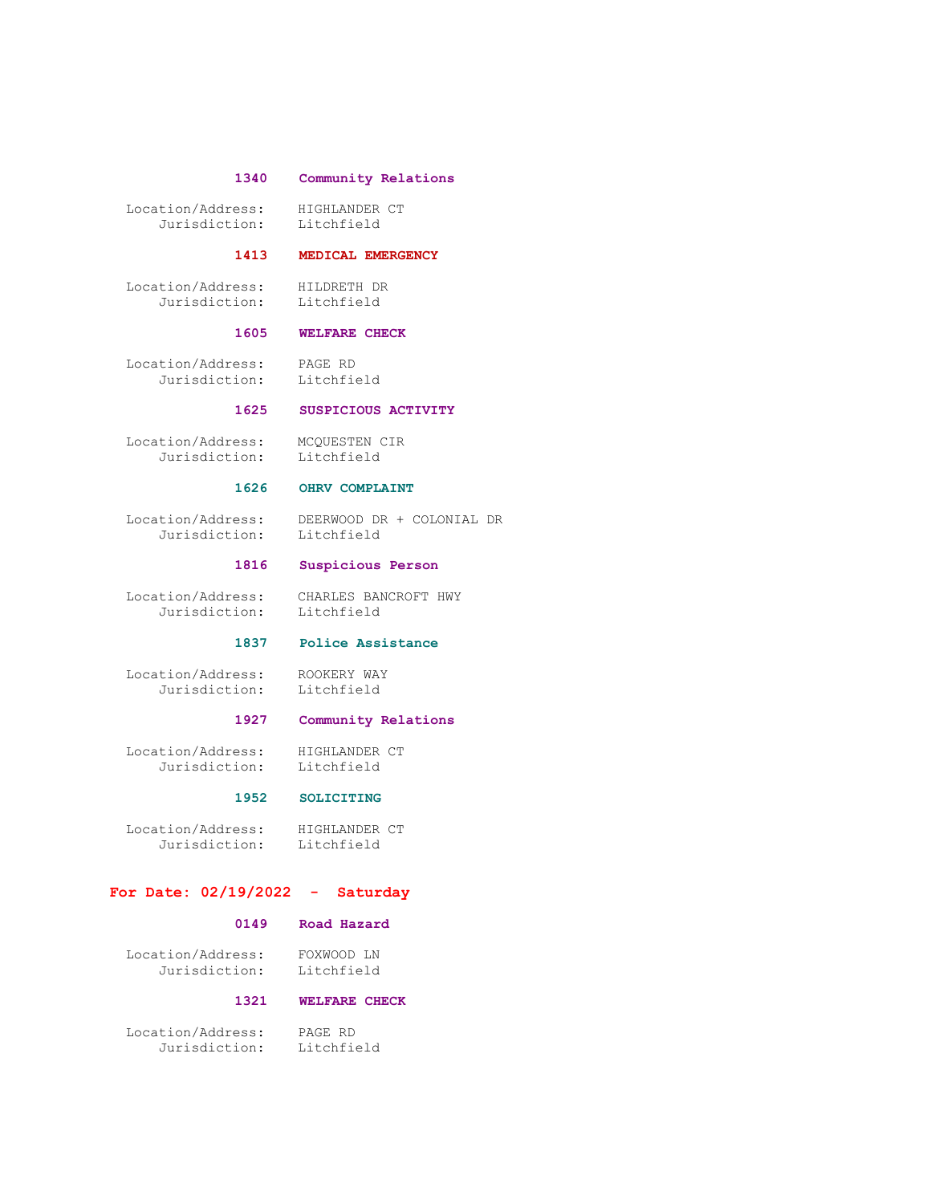## 1340 Community Relations

Location/Address: HIGHLANDER CT<br>Jurisdiction: Litchfield Jurisdiction:

# 1413 MEDICAL EMERGENCY

 Location/Address: HILDRETH DR Jurisdiction: Litchfield

#### 1605 WELFARE CHECK

 Location/Address: PAGE RD Jurisdiction: Litchfield

# 1625 SUSPICIOUS ACTIVITY

 Location/Address: MCQUESTEN CIR Jurisdiction: Litchfield

#### 1626 OHRV COMPLAINT

Location/Address: DEERWOOD DR + COLONIAL DR<br>Jurisdiction: Litchfield Jurisdiction:

#### 1816 Suspicious Person

 Location/Address: CHARLES BANCROFT HWY Jurisdiction: Litchfield

# 1837 Police Assistance

Location/Address: ROOKERY WAY<br>Jurisdiction: Litchfield Jurisdiction:

## 1927 Community Relations

 Location/Address: HIGHLANDER CT Jurisdiction: Litchfield

#### 1952 SOLICITING

 Location/Address: HIGHLANDER CT Jurisdiction: Litchfield

# For Date: 02/19/2022 - Saturday

# 0149 Road Hazard

 Location/Address: FOXWOOD LN Jurisdiction:

# 1321 WELFARE CHECK

 Location/Address: PAGE RD Jurisdiction: Litchfield